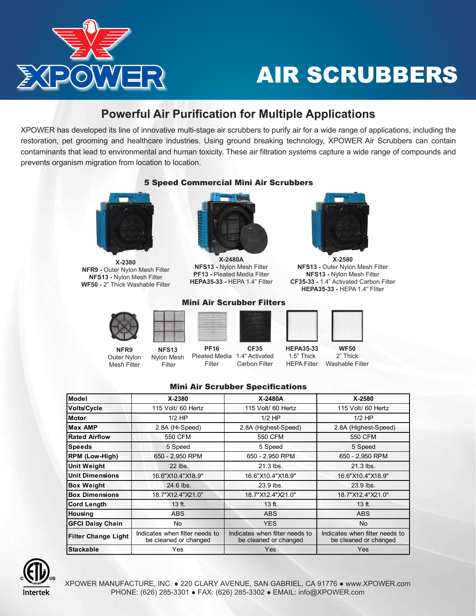

# AIR SCRUBBERS

### **Powerful Air Purification for Multiple Applications**

XPOWER has developed its line of innovative multi-stage air scrubbers to purify air for a wide range of applications, including the restoration, pet grooming and healthcare industries. Using ground breaking technology, XPOWER Air Scrubbers can contain contaminants that lead to environmental and human toxicity. These air filtration systems capture a wide range of compounds and prevents organism migration from location to location.



**X-2380 NFR9 -** Outer Nylon Mesh Filter **NFS13 -** Nylon Mesh Filter **WF50 -** 2" Thick Washable Filter



**NFR9** Outer Nylon Mesh Filter

**NFS13** Nylon Mesh Filter



**X-2480A NFS13 -** Nylon Mesh Filter **PF13 -** Pleated Media Filter **HEPA35-33 -** HEPA 1.4" FIlter

Mini Air Scrubber Filters



**X-2580 NFS13 -** Outer Nylon Mesh Filter **NFS13 -** Nylon Mesh Filter **CF35-33 -** 1.4" Activated Carbon Filter **HEPA35-33 -** HEPA 1.4" FIlter



**HEPA35-33** 1.5" Thick **WF50** 2" Thick

#### HEPA Filter Washable Filter

#### Mini Air Scrubber Specifications

Pleated Media 1.4" Activated

**CF35** Carbon Filter

**PF16**

Filter

| Model                      | X-2380                                                  | X-2480A                                                 | $X - 2580$                                              |  |  |  |
|----------------------------|---------------------------------------------------------|---------------------------------------------------------|---------------------------------------------------------|--|--|--|
| <b>Volts/Cycle</b>         | 115 Volt/ 60 Hertz                                      | 115 Volt/ 60 Hertz                                      | 115 Volt/ 60 Hertz                                      |  |  |  |
| <b>Motor</b>               | $1/2$ HP                                                | $1/2$ HP                                                | $1/2$ HP                                                |  |  |  |
| <b>Max AMP</b>             | 2.8A (Hi-Speed)                                         | 2.8A (Highest-Speed)                                    | 2.8A (Highest-Speed)                                    |  |  |  |
| <b>Rated Airflow</b>       | 550 CFM                                                 | 550 CFM                                                 | 550 CFM                                                 |  |  |  |
| <b>Speeds</b>              | 5 Speed                                                 | 5 Speed                                                 | 5 Speed                                                 |  |  |  |
| <b>RPM (Low-High)</b>      | 650 - 2,950 RPM                                         | 650 - 2,950 RPM                                         | 650 - 2,950 RPM                                         |  |  |  |
| <b>Unit Weight</b>         | 22 lbs.                                                 | 21.3 lbs.                                               | $21.3$ lbs.                                             |  |  |  |
| <b>Unit Dimensions</b>     | 16.6"X10.4"X18.9"                                       | 16.6"X10.4"X18.9"                                       | 16.6"X10.4"X18.9"                                       |  |  |  |
| <b>Box Weight</b>          | 24.6 lbs.                                               | 23.9 lbs.                                               | 23.9 lbs.                                               |  |  |  |
| <b>Box Dimensions</b>      | 18.7"X12.4"X21.0"                                       | 18.7"X12.4"X21.0"                                       | 18.7"X12.4"X21.0"                                       |  |  |  |
| <b>Cord Length</b>         | $13$ ft.                                                | 13 ft.                                                  | $13$ ft.                                                |  |  |  |
| <b>Housing</b>             | <b>ABS</b>                                              | <b>ABS</b>                                              | <b>ABS</b>                                              |  |  |  |
| <b>GFCI Daisy Chain</b>    | No                                                      | <b>YES</b>                                              | <b>No</b>                                               |  |  |  |
| <b>Filter Change Light</b> | Indicates when filter needs to<br>be cleaned or changed | Indicates when filter needs to<br>be cleaned or changed | Indicates when filter needs to<br>be cleaned or changed |  |  |  |
| Stackable                  | Yes                                                     | Yes                                                     | Yes                                                     |  |  |  |



## 5 Speed Commercial Mini Air Scrubbers